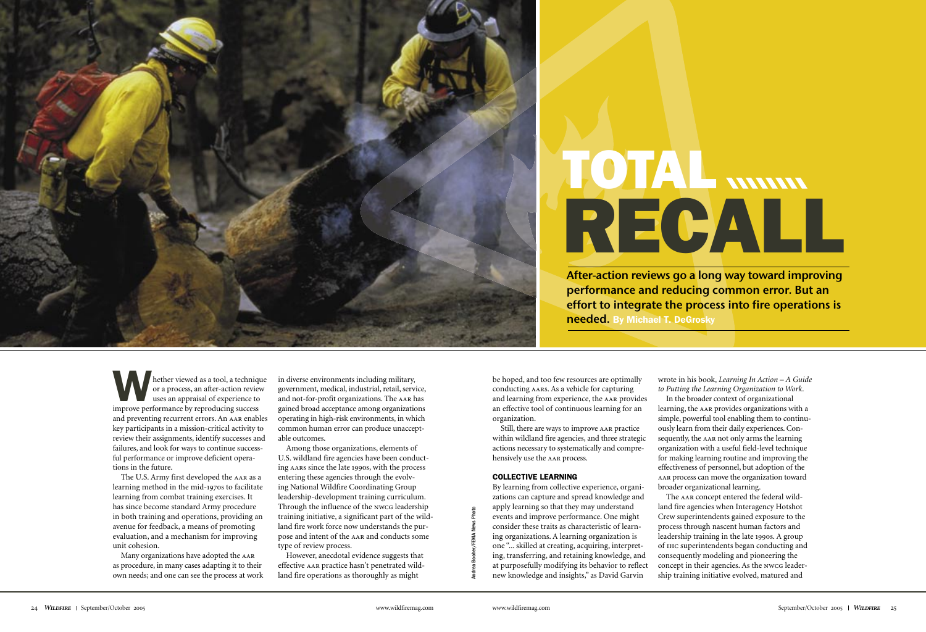hether viewed as a tool, a technique<br>or a process, an after-action review<br>uses an appraisal of experience to<br>improve performance by reproducing success or a process, an after-action review uses an appraisal of experience to improve performance by reproducing success and preventing recurrent errors. An AAR enables key participants in a mission-critical activity to review their assignments, identify successes and failures, and look for ways to continue successful performance or improve deficient operations in the future.

The U.S. Army first developed the AAR as a learning method in the mid-1970s to facilitate learning from combat training exercises. It has since become standard Army procedure in both training and operations, providing an avenue for feedback, a means of promoting evaluation, and a mechanism for improving unit cohesion.

Many organizations have adopted the AAR as procedure, in many cases adapting it to their own needs; and one can see the process at work

in diverse environments including military, government, medical, industrial, retail, service, and not-for-profit organizations. The AAR has gained broad acceptance among organizations operating in high-risk environments, in which common human error can produce unacceptable outcomes.

Among those organizations, elements of U.S. wildland fire agencies have been conducting AARS since the late 1990s, with the process entering these agencies through the evolving National Wildfire Coordinating Group leadership-development training curriculum. Through the influence of the NWCG leadership training initiative, a significant part of the wildland fire work force now understands the purpose and intent of the and conducts some type of review process.

However, anecdotal evidence suggests that effective AAR practice hasn't penetrated wildland fire operations as thoroughly as might

The AAR concept entered the federal wildland fire agencies when Interagency Hotshot Crew superintendents gained exposure to the process through nascent human factors and leadership training in the late 1990s. A group of IHC superintendents began conducting and consequently modeling and pioneering the concept in their agencies. As the NWCG leadership training initiative evolved, matured and

be hoped, and too few resources are optimally conducting AARS. As a vehicle for capturing and learning from experience, the AAR provides an effective tool of continuous learning for an organization.

Still, there are ways to improve AAR practice within wildland fire agencies, and three strategic actions necessary to systematically and comprehensively use the AAR process.

#### COLLECTIVE LEARNING

By learning from collective experience, organizations can capture and spread knowledge and apply learning so that they may understand events and improve performance. One might consider these traits as characteristic of learning organizations. A learning organization is one "... skilled at creating, acquiring, interpreting, transferring, and retaining knowledge, and at purposefully modifying its behavior to reflect new knowledge and insights," as David Garvin

wrote in his book, *Learning In Action – A Guide*  In the broader context of organizational

*to Putting the Learning Organization to Work*. learning, the AAR provides organizations with a simple, powerful tool enabling them to continuously learn from their daily experiences. Consequently, the AAR not only arms the learning organization with a useful field-level technique for making learning routine and improving the effectiveness of personnel, but adoption of the process can move the organization toward broader organizational learning.



# TOTAL RECALL

**After-action reviews go a long way toward improving performance and reducing common error. But an effort to integrate the process into fire operations is needed.** By Michael T. DeGrosky

Andrea Booher/FEMA News Photo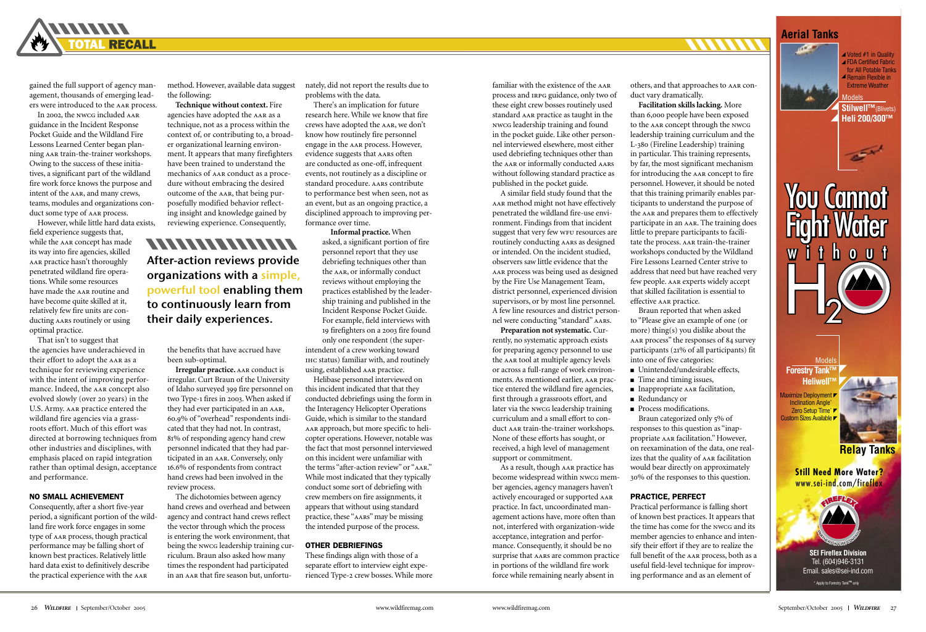

gained the full support of agency management, thousands of emerging leaders were introduced to the AAR process.

In 2002, the NWCG included AAR guidance in the Incident Response Pocket Guide and the Wildland Fire Lessons Learned Center began planning AAR train-the-trainer workshops. Owing to the success of these initiatives, a significant part of the wildland fire work force knows the purpose and intent of the AAR, and many crews, teams, modules and organizations conduct some type of AAR process.

However, while little hard data exists, field experience suggests that, while the AAR concept has made its way into fire agencies, skilled practice hasn't thoroughly penetrated wildland fire operations. While some resources have made the AAR routine and have become quite skilled at it, relatively few fire units are conducting AARS routinely or using optimal practice.

That isn't to suggest that the agencies have underachieved in their effort to adopt the AAR as a technique for reviewing experience with the intent of improving performance. Indeed, the AAR concept also evolved slowly (over 20 years) in the U.S. Army. AAR practice entered the wildland fire agencies via a grassroots effort. Much of this effort was directed at borrowing techniques from other industries and disciplines, with emphasis placed on rapid integration rather than optimal design, acceptance and performance.

**Irregular practice.** AAR conduct is irregular. Curt Braun of the University of Idaho surveyed 399 fire personnel on two Type-1 fires in 2003. When asked if they had ever participated in an AAR, .% of "overhead" respondents indicated that they had not. In contrast, % of responding agency hand crew personnel indicated that they had participated in an AAR. Conversely, only 16.6% of respondents from contract hand crews had been involved in the review process.

The dichotomies between agency hand crews and overhead and between agency and contract hand crews reflect the vector through which the process is entering the work environment, that being the nwcg leadership training curriculum. Braun also asked how many times the respondent had participated in an AAR that fire season but, unfortu-

## NO SMALL ACHIEVEMENT

Consequently, after a short five-year period, a significant portion of the wildland fire work force engages in some type of AAR process, though practical performance may be falling short of known best practices. Relatively little hard data exist to definitively describe the practical experience with the

method. However, available data suggest the following:

> **Informal practice.** When asked, a significant portion of fire personnel report that they use debriefing techniques other than the AAR, or informally conduct reviews without employing the practices established by the leadership training and published in the Incident Response Pocket Guide. For example, field interviews with 19 firefighters on a 2003 fire found only one respondent (the superintendent of a crew working toward status) familiar with, and routinely using, established AAR practice.

**Technique without context.** Fire agencies have adopted the AAR as a technique, not as a process within the context of, or contributing to, a broader organizational learning environment. It appears that many firefighters have been trained to understand the mechanics of AAR conduct as a procedure without embracing the desired outcome of the AAR, that being purposefully modified behavior reflecting insight and knowledge gained by reviewing experience. Consequently,

the benefits that have accrued have been sub-optimal.

> These findings align with those of a separate effort to interview eight experienced Type-2 crew bosses. While more

A similar field study found that the method might not have effectively penetrated the wildland fire-use environment. Findings from that incident suggest that very few wru resources are routinely conducting AARS as designed or intended. On the incident studied, observers saw little evidence that the process was being used as designed by the Fire Use Management Team, district personnel, experienced division supervisors, or by most line personnel. A few line resources and district personnel were conducting "standard" AARS.

nately, did not report the results due to problems with the data.

> As a result, though AAR practice has become widespread within NWCG member agencies, agency managers haven't actively encouraged or supported practice. In fact, uncoordinated management actions have, more often than not, interfered with organization-wide acceptance, integration and performance. Consequently, it should be no surprise that AARS are common practice in portions of the wildland fire work force while remaining nearly absent in

others, and that approaches to AAR conduct vary dramatically.

**Facilitation skills lacking.** More than 6,000 people have been exposed to the AAR concept through the NWCG leadership training curriculum and the L-380 (Fireline Leadership) training in particular. This training represents, by far, the most significant mechanism for introducing the AAR concept to fire personnel. However, it should be noted that this training primarily enables participants to understand the purpose of the AAR and prepares them to effectively participate in an AAR. The training does little to prepare participants to facilitate the process. AAR train-the-trainer workshops conducted by the Wildland Fire Lessons Learned Center strive to address that need but have reached very few people. AAR experts widely accept that skilled facilitation is essential to effective AAR practice.

There's an implication for future research here. While we know that fire crews have adopted the AAR, we don't know how routinely fire personnel engage in the AAR process. However, evidence suggests that AARS often are conducted as one-off, infrequent events, not routinely as a discipline or standard procedure. AARS contribute to performance best when seen, not as an event, but as an ongoing practice, a disciplined approach to improving performance over time.

> Braun reported that when asked to "Please give an example of one (or more) thing(s) you dislike about the AAR process" the responses of 84 survey participants ( $21\%$  of all participants) fit into one of five categories: ■ Unintended/undesirable effects,

- Time and timing issues,
- $\blacksquare$  Inappropriate AAR facilitation,
- Redundancy or
- Process modifications.

Braun categorized only 5% of responses to this question as "inappropriate AAR facilitation." However, on reexamination of the data, one realizes that the quality of AAR facilitation would bear directly on approximately % of the responses to this question.

Helibase personnel interviewed on this incident indicated that that they conducted debriefings using the form in the Interagency Helicopter Operations Guide, which is similar to the standard approach, but more specific to helicopter operations. However, notable was the fact that most personnel interviewed on this incident were unfamiliar with the terms "after-action review" or "AAR." While most indicated that they typically conduct some sort of debriefing with crew members on fire assignments, it appears that without using standard practice, these "AARS" may be missing the intended purpose of the process.

**After-action reviews provide**<br>
Mater-action **existed and the provide** debriefing techniques other than<br>
The debriefing techniques other than<br>
The debriefing techniques other than<br>
ODI **organizations with a simple, powerful tool enabling them to continuously learn from their daily experiences.** 

## OTHER DEBRIEFINGS

familiar with the existence of the process and IRPG guidance, only two of these eight crew bosses routinely used standard AAR practice as taught in the nwcG leadership training and found in the pocket guide. Like other personnel interviewed elsewhere, most either used debriefing techniques other than the AAR or informally conducted AARS without following standard practice as published in the pocket guide.

**Preparation not systematic.** Currently, no systematic approach exists for preparing agency personnel to use the AAR tool at multiple agency levels or across a full-range of work environments. As mentioned earlier, AAR practice entered the wildland fire agencies, first through a grassroots effort, and later via the NWCG leadership training curriculum and a small effort to conduct AAR train-the-trainer workshops. None of these efforts has sought, or received, a high level of management support or commitment.

# PRACTICE, PERFECT

Practical performance is falling short of known best practices. It appears that the time has come for the NWCG and its member agencies to enhance and intensify their effort if they are to realize the full benefit of the AAR process, both as a useful field-level technique for improving performance and as an element of



Email. sales@sei-ind.com



\* Apply to Forestry Tank**™** only